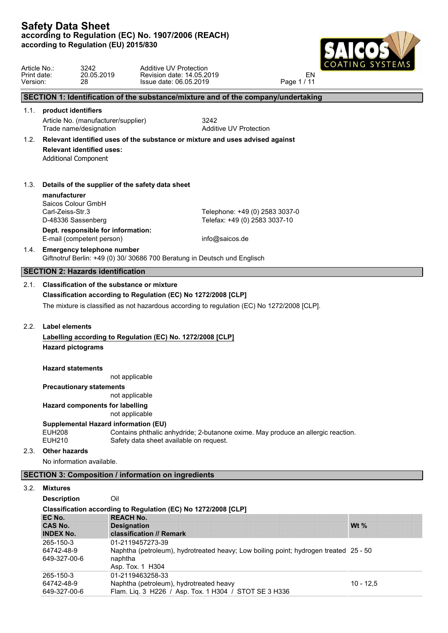

| Article No.:<br>Print date:<br>Version: | 3242<br>28                                                      | Additive UV Protection<br>20.05.2019                                                   | Revision date: 14.05.2019<br>Issue date: 06.05.2019                                         | EN<br>Page 1 / 11 |             |
|-----------------------------------------|-----------------------------------------------------------------|----------------------------------------------------------------------------------------|---------------------------------------------------------------------------------------------|-------------------|-------------|
|                                         |                                                                 |                                                                                        | SECTION 1: Identification of the substance/mixture and of the company/undertaking           |                   |             |
|                                         | 1.1. product identifiers                                        |                                                                                        |                                                                                             |                   |             |
|                                         | Trade name/designation                                          | Article No. (manufacturer/supplier)                                                    | 3242<br><b>Additive UV Protection</b>                                                       |                   |             |
| 1.2.                                    |                                                                 |                                                                                        | Relevant identified uses of the substance or mixture and uses advised against               |                   |             |
|                                         | <b>Relevant identified uses:</b><br><b>Additional Component</b> |                                                                                        |                                                                                             |                   |             |
| 1.3.                                    |                                                                 | Details of the supplier of the safety data sheet                                       |                                                                                             |                   |             |
|                                         | manufacturer<br>Saicos Colour GmbH                              |                                                                                        |                                                                                             |                   |             |
|                                         | Carl-Zeiss-Str.3                                                |                                                                                        | Telephone: +49 (0) 2583 3037-0                                                              |                   |             |
|                                         | D-48336 Sassenberg                                              |                                                                                        | Telefax: +49 (0) 2583 3037-10                                                               |                   |             |
|                                         | E-mail (competent person)                                       | Dept. responsible for information:                                                     | info@saicos.de                                                                              |                   |             |
|                                         | 1.4. Emergency telephone number                                 |                                                                                        | Giftnotruf Berlin: +49 (0) 30/ 30686 700 Beratung in Deutsch und Englisch                   |                   |             |
|                                         | <b>SECTION 2: Hazards identification</b>                        |                                                                                        |                                                                                             |                   |             |
| 2.1.                                    |                                                                 | Classification of the substance or mixture                                             |                                                                                             |                   |             |
|                                         |                                                                 | Classification according to Regulation (EC) No 1272/2008 [CLP]                         |                                                                                             |                   |             |
|                                         |                                                                 |                                                                                        | The mixture is classified as not hazardous according to regulation (EC) No 1272/2008 [CLP]. |                   |             |
| 2.2.                                    | <b>Label elements</b>                                           |                                                                                        |                                                                                             |                   |             |
|                                         |                                                                 | Labelling according to Regulation (EC) No. 1272/2008 [CLP]                             |                                                                                             |                   |             |
|                                         | <b>Hazard pictograms</b>                                        |                                                                                        |                                                                                             |                   |             |
|                                         | <b>Hazard statements</b>                                        |                                                                                        |                                                                                             |                   |             |
|                                         |                                                                 | not applicable                                                                         |                                                                                             |                   |             |
|                                         | <b>Precautionary statements</b>                                 |                                                                                        |                                                                                             |                   |             |
|                                         |                                                                 | not applicable                                                                         |                                                                                             |                   |             |
|                                         |                                                                 | Hazard components for labelling<br>not applicable                                      |                                                                                             |                   |             |
|                                         | <b>EUH208</b><br><b>EUH210</b>                                  | <b>Supplemental Hazard information (EU)</b><br>Safety data sheet available on request. | Contains phthalic anhydride; 2-butanone oxime. May produce an allergic reaction.            |                   |             |
| 2.3.                                    | <b>Other hazards</b>                                            |                                                                                        |                                                                                             |                   |             |
|                                         | No information available.                                       |                                                                                        |                                                                                             |                   |             |
|                                         |                                                                 | <b>SECTION 3: Composition / information on ingredients</b>                             |                                                                                             |                   |             |
| 3.2.                                    | <b>Mixtures</b>                                                 |                                                                                        |                                                                                             |                   |             |
|                                         | <b>Description</b>                                              | Oil                                                                                    |                                                                                             |                   |             |
|                                         |                                                                 | Classification according to Regulation (EC) No 1272/2008 [CLP]                         |                                                                                             |                   |             |
|                                         | EC No.                                                          | <b>REACH No.</b>                                                                       |                                                                                             |                   |             |
|                                         | <b>CAS No.</b>                                                  | <b>Designation</b>                                                                     |                                                                                             |                   | Wt %        |
|                                         | <b>INDEX No.</b><br>265-150-3                                   | classification // Remark<br>01-2119457273-39                                           |                                                                                             |                   |             |
|                                         | 64742-48-9<br>649-327-00-6                                      | naphtha                                                                                | Naphtha (petroleum), hydrotreated heavy; Low boiling point; hydrogen treated 25 - 50        |                   |             |
|                                         |                                                                 | Asp. Tox. 1 H304                                                                       |                                                                                             |                   |             |
|                                         | 265-150-3                                                       | 01-2119463258-33                                                                       |                                                                                             |                   |             |
|                                         | 64742-48-9                                                      | Naphtha (petroleum), hydrotreated heavy                                                |                                                                                             |                   | $10 - 12,5$ |

649-327-00-6 Flam. Liq. 3 H226 / Asp. Tox. 1 H304 / STOT SE 3 H336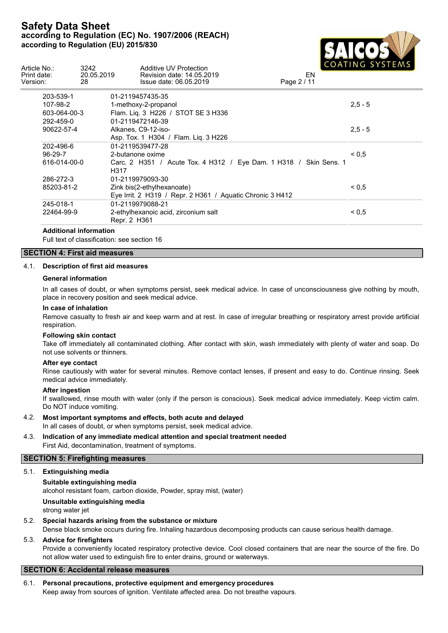

| Article No.:<br>Print date:<br>Version: | 3242<br>20.05.2019<br>28 | Additive UV Protection<br>Revision date: 14.05.2019<br>Issue date: 06.05.2019 | $\begin{array}{c} \begin{array}{c} \text{C} \\ \text{C} \\ \text{C} \end{array} \end{array}$<br>EN<br>Page 2 / 11 |
|-----------------------------------------|--------------------------|-------------------------------------------------------------------------------|-------------------------------------------------------------------------------------------------------------------|
| 203-539-1                               |                          | 01-2119457435-35                                                              |                                                                                                                   |
| 107-98-2                                |                          | 1-methoxy-2-propanol                                                          | $2,5 - 5$                                                                                                         |
| 603-064-00-3                            |                          | Flam. Lig. 3 H226 / STOT SE 3 H336                                            |                                                                                                                   |
| 292-459-0                               |                          | 01-2119472146-39                                                              |                                                                                                                   |
| 90622-57-4                              |                          | Alkanes, C9-12-iso-                                                           | $2,5 - 5$                                                                                                         |
|                                         |                          | Asp. Tox. 1 H304 / Flam. Lig. 3 H226                                          |                                                                                                                   |
| 202-496-6                               |                          | 01-2119539477-28                                                              |                                                                                                                   |
| $96 - 29 - 7$                           |                          | 2-butanone oxime                                                              | ${}_{0.5}$                                                                                                        |
| 616-014-00-0                            | H317                     | Carc. 2 H351 / Acute Tox. 4 H312 / Eye Dam. 1 H318 / Skin Sens. 1             |                                                                                                                   |
| 286-272-3                               |                          | 01-2119979093-30                                                              |                                                                                                                   |
| 85203-81-2                              |                          | Zink bis(2-ethylhexanoate)                                                    | ${}_{0.5}$                                                                                                        |
|                                         |                          | Eye Irrit. 2 H319 / Repr. 2 H361 / Aquatic Chronic 3 H412                     |                                                                                                                   |
| 245-018-1                               |                          | 01-2119979088-21                                                              |                                                                                                                   |
| 22464-99-9                              |                          | 2-ethylhexanoic acid, zirconium salt                                          | ${}^{5}$ < 0,5                                                                                                    |
|                                         |                          | Repr. 2 H361                                                                  |                                                                                                                   |

#### **Additional information**

Full text of classification: see section 16

## **SECTION 4: First aid measures**

### 4.1. **Description of first aid measures**

#### **General information**

In all cases of doubt, or when symptoms persist, seek medical advice. In case of unconsciousness give nothing by mouth, place in recovery position and seek medical advice.

### **In case of inhalation**

Remove casualty to fresh air and keep warm and at rest. In case of irregular breathing or respiratory arrest provide artificial respiration.

## **Following skin contact**

Take off immediately all contaminated clothing. After contact with skin, wash immediately with plenty of water and soap. Do not use solvents or thinners.

#### **After eye contact**

Rinse cautiously with water for several minutes. Remove contact lenses, if present and easy to do. Continue rinsing. Seek medical advice immediately.

#### **After ingestion**

If swallowed, rinse mouth with water (only if the person is conscious). Seek medical advice immediately. Keep victim calm. Do NOT induce vomiting.

# 4.2. **Most important symptoms and effects, both acute and delayed**

In all cases of doubt, or when symptoms persist, seek medical advice.

## 4.3. **Indication of any immediate medical attention and special treatment needed** First Aid, decontamination, treatment of symptoms.

## **SECTION 5: Firefighting measures**

### 5.1. **Extinguishing media**

**Suitable extinguishing media** alcohol resistant foam, carbon dioxide, Powder, spray mist, (water) **Unsuitable extinguishing media**

- strong water jet
- 5.2. **Special hazards arising from the substance or mixture**

Dense black smoke occurs during fire. Inhaling hazardous decomposing products can cause serious health damage.

## 5.3. **Advice for firefighters**

Provide a conveniently located respiratory protective device. Cool closed containers that are near the source of the fire. Do not allow water used to extinguish fire to enter drains, ground or waterways.

## **SECTION 6: Accidental release measures**

6.1. **Personal precautions, protective equipment and emergency procedures** Keep away from sources of ignition. Ventilate affected area. Do not breathe vapours.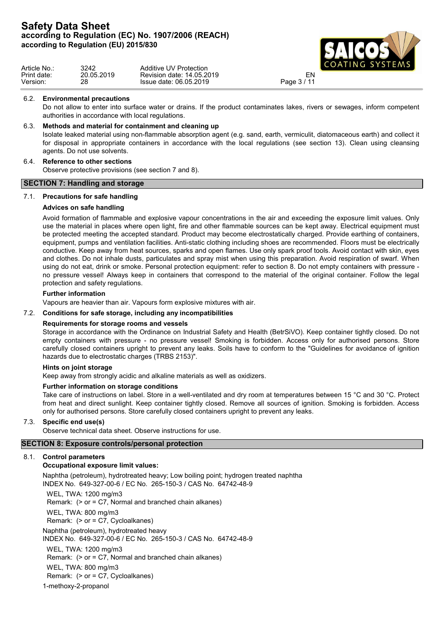

| Article No.: | 3242       | <b>Additive UV Protection</b> | $\blacksquare$ |  |
|--------------|------------|-------------------------------|----------------|--|
| Print date:  | 20.05.2019 | Revision date: 14.05.2019     | ΕN             |  |
| Version:     | 28         | Issue date: 06.05.2019        | Page $3/14$    |  |

#### 6.2. **Environmental precautions**

Do not allow to enter into surface water or drains. If the product contaminates lakes, rivers or sewages, inform competent authorities in accordance with local regulations.

## 6.3. **Methods and material for containment and cleaning up**

Isolate leaked material using non-flammable absorption agent (e.g. sand, earth, vermiculit, diatomaceous earth) and collect it for disposal in appropriate containers in accordance with the local regulations (see section 13). Clean using cleansing agents. Do not use solvents.

### 6.4. **Reference to other sections**

Observe protective provisions (see section 7 and 8).

### **SECTION 7: Handling and storage**

### 7.1. **Precautions for safe handling**

### **Advices on safe handling**

Avoid formation of flammable and explosive vapour concentrations in the air and exceeding the exposure limit values. Only use the material in places where open light, fire and other flammable sources can be kept away. Electrical equipment must be protected meeting the accepted standard. Product may become electrostatically charged. Provide earthing of containers, equipment, pumps and ventilation facilities. Anti-static clothing including shoes are recommended. Floors must be electrically conductive. Keep away from heat sources, sparks and open flames. Use only spark proof tools. Avoid contact with skin, eyes and clothes. Do not inhale dusts, particulates and spray mist when using this preparation. Avoid respiration of swarf. When using do not eat, drink or smoke. Personal protection equipment: refer to section 8. Do not empty containers with pressure no pressure vessel! Always keep in containers that correspond to the material of the original container. Follow the legal protection and safety regulations.

#### **Further information**

Vapours are heavier than air. Vapours form explosive mixtures with air.

#### 7.2. **Conditions for safe storage, including any incompatibilities**

### **Requirements for storage rooms and vessels**

Storage in accordance with the Ordinance on Industrial Safety and Health (BetrSiVO). Keep container tightly closed. Do not empty containers with pressure - no pressure vessel! Smoking is forbidden. Access only for authorised persons. Store carefully closed containers upright to prevent any leaks. Soils have to conform to the "Guidelines for avoidance of ignition hazards due to electrostatic charges (TRBS 2153)".

#### **Hints on joint storage**

Keep away from strongly acidic and alkaline materials as well as oxidizers.

### **Further information on storage conditions**

Take care of instructions on label. Store in a well-ventilated and dry room at temperatures between 15 °C and 30 °C. Protect from heat and direct sunlight. Keep container tightly closed. Remove all sources of ignition. Smoking is forbidden. Access only for authorised persons. Store carefully closed containers upright to prevent any leaks.

### 7.3. **Specific end use(s)**

Observe technical data sheet. Observe instructions for use.

## **SECTION 8: Exposure controls/personal protection**

### 8.1. **Control parameters**

### **Occupational exposure limit values:**

Naphtha (petroleum), hydrotreated heavy; Low boiling point; hydrogen treated naphtha INDEX No. 649-327-00-6 / EC No. 265-150-3 / CAS No. 64742-48-9

WEL, TWA: 1200 mg/m3 Remark: (> or = C7, Normal and branched chain alkanes) WEL, TWA: 800 mg/m3 Remark: (> or = C7, Cycloalkanes) Naphtha (petroleum), hydrotreated heavy INDEX No. 649-327-00-6 / EC No. 265-150-3 / CAS No. 64742-48-9 WEL, TWA: 1200 mg/m3 Remark: (> or = C7, Normal and branched chain alkanes) WEL, TWA: 800 mg/m3 Remark: (> or = C7, Cycloalkanes)

1-methoxy-2-propanol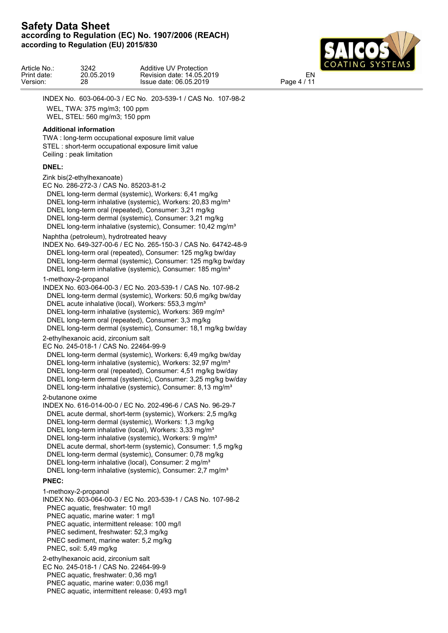

| Article No.: | 3242       | Additive UV Protection    | $\blacksquare$ COATING SYSTEMS |  |
|--------------|------------|---------------------------|--------------------------------|--|
| Print date:  | 20.05.2019 | Revision date: 14.05.2019 | EN                             |  |
| Version:     | 28         | Issue date: 06.05.2019    | 141<br>$P$ aqe 4,              |  |

INDEX No. 603-064-00-3 / EC No. 203-539-1 / CAS No. 107-98-2 WEL, TWA: 375 mg/m3; 100 ppm

WEL, STEL: 560 mg/m3; 150 ppm

## **Additional information**

TWA : long-term occupational exposure limit value STEL : short-term occupational exposure limit value Ceiling : peak limitation

## **DNEL:**

Zink bis(2-ethylhexanoate)

- EC No. 286-272-3 / CAS No. 85203-81-2
- DNEL long-term dermal (systemic), Workers: 6,41 mg/kg
- DNEL long-term inhalative (systemic), Workers: 20,83 mg/m<sup>3</sup>
- DNEL long-term oral (repeated), Consumer: 3,21 mg/kg
- DNEL long-term dermal (systemic), Consumer: 3,21 mg/kg

DNEL long-term inhalative (systemic), Consumer: 10,42 mg/m<sup>3</sup>

Naphtha (petroleum), hydrotreated heavy

INDEX No. 649-327-00-6 / EC No. 265-150-3 / CAS No. 64742-48-9 DNEL long-term oral (repeated), Consumer: 125 mg/kg bw/day DNEL long-term dermal (systemic), Consumer: 125 mg/kg bw/day DNEL long-term inhalative (systemic), Consumer: 185 mg/m<sup>3</sup>

## 1-methoxy-2-propanol

INDEX No. 603-064-00-3 / EC No. 203-539-1 / CAS No. 107-98-2 DNEL long-term dermal (systemic), Workers: 50,6 mg/kg bw/day DNEL acute inhalative (local), Workers: 553,3 mg/m<sup>3</sup>

- DNEL long-term inhalative (systemic), Workers: 369 mg/m<sup>3</sup>
- DNEL long-term oral (repeated), Consumer: 3,3 mg/kg

DNEL long-term dermal (systemic), Consumer: 18,1 mg/kg bw/day

2-ethylhexanoic acid, zirconium salt

EC No. 245-018-1 / CAS No. 22464-99-9

- DNEL long-term dermal (systemic), Workers: 6,49 mg/kg bw/day
- DNEL long-term inhalative (systemic), Workers: 32,97 mg/m<sup>3</sup>
- DNEL long-term oral (repeated), Consumer: 4,51 mg/kg bw/day
- DNEL long-term dermal (systemic), Consumer: 3,25 mg/kg bw/day
- DNEL long-term inhalative (systemic), Consumer: 8,13 mg/m<sup>3</sup>

2-butanone oxime

- INDEX No. 616-014-00-0 / EC No. 202-496-6 / CAS No. 96-29-7
- DNEL acute dermal, short-term (systemic), Workers: 2,5 mg/kg
- DNEL long-term dermal (systemic), Workers: 1,3 mg/kg
- DNEL long-term inhalative (local), Workers: 3,33 mg/m<sup>3</sup>
- DNEL long-term inhalative (systemic), Workers: 9 mg/m<sup>3</sup>
- DNEL acute dermal, short-term (systemic), Consumer: 1,5 mg/kg
- DNEL long-term dermal (systemic), Consumer: 0,78 mg/kg
- DNEL long-term inhalative (local), Consumer: 2 mg/m<sup>3</sup>
- DNEL long-term inhalative (systemic), Consumer: 2,7 mg/m<sup>3</sup>

# **PNEC:**

1-methoxy-2-propanol INDEX No. 603-064-00-3 / EC No. 203-539-1 / CAS No. 107-98-2 PNEC aquatic, freshwater: 10 mg/l PNEC aquatic, marine water: 1 mg/l PNEC aquatic, intermittent release: 100 mg/l PNEC sediment, freshwater: 52,3 mg/kg PNEC sediment, marine water: 5,2 mg/kg PNEC, soil: 5,49 mg/kg 2-ethylhexanoic acid, zirconium salt

EC No. 245-018-1 / CAS No. 22464-99-9

- PNEC aquatic, freshwater: 0,36 mg/l
- PNEC aquatic, marine water: 0,036 mg/l
- PNEC aquatic, intermittent release: 0,493 mg/l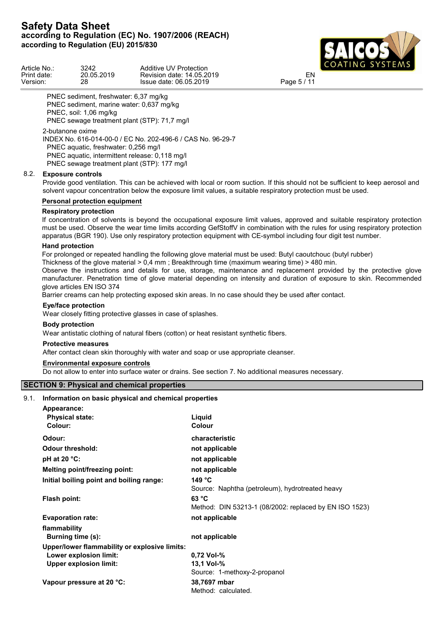

| Article No  | 3242       | Additive UV<br>' Protection | LUAIINU SISIEMS          |  |
|-------------|------------|-----------------------------|--------------------------|--|
| Print date: | 20.05.2019 | Revision date: 14.05.2019   | EN                       |  |
| Version:    | 28         | Issue date: 06.05.2019      | $\overline{1}$<br>Page 5 |  |

PNEC sediment, freshwater: 6,37 mg/kg PNEC sediment, marine water: 0,637 mg/kg PNEC, soil: 1,06 mg/kg PNEC sewage treatment plant (STP): 71,7 mg/l 2-butanone oxime

INDEX No. 616-014-00-0 / EC No. 202-496-6 / CAS No. 96-29-7 PNEC aquatic, freshwater: 0,256 mg/l PNEC aquatic, intermittent release: 0,118 mg/l PNEC sewage treatment plant (STP): 177 mg/l

## 8.2. **Exposure controls**

Provide good ventilation. This can be achieved with local or room suction. If this should not be sufficient to keep aerosol and solvent vapour concentration below the exposure limit values, a suitable respiratory protection must be used.

## **Personal protection equipment**

## **Respiratory protection**

If concentration of solvents is beyond the occupational exposure limit values, approved and suitable respiratory protection must be used. Observe the wear time limits according GefStoffV in combination with the rules for using respiratory protection apparatus (BGR 190). Use only respiratory protection equipment with CE-symbol including four digit test number.

### **Hand protection**

For prolonged or repeated handling the following glove material must be used: Butyl caoutchouc (butyl rubber)

Thickness of the glove material > 0,4 mm ; Breakthrough time (maximum wearing time) > 480 min.

Observe the instructions and details for use, storage, maintenance and replacement provided by the protective glove manufacturer. Penetration time of glove material depending on intensity and duration of exposure to skin. Recommended glove articles EN ISO 374

Barrier creams can help protecting exposed skin areas. In no case should they be used after contact.

## **Eye/face protection**

Wear closely fitting protective glasses in case of splashes.

### **Body protection**

Wear antistatic clothing of natural fibers (cotton) or heat resistant synthetic fibers.

### **Protective measures**

After contact clean skin thoroughly with water and soap or use appropriate cleanser.

## **Environmental exposure controls**

Do not allow to enter into surface water or drains. See section 7. No additional measures necessary.

## **SECTION 9: Physical and chemical properties**

### 9.1. **Information on basic physical and chemical properties**

| Appearance:                                   |                                                        |
|-----------------------------------------------|--------------------------------------------------------|
| <b>Physical state:</b>                        | Liquid                                                 |
| Colour:                                       | Colour                                                 |
| Odour:                                        | characteristic                                         |
| <b>Odour threshold:</b>                       | not applicable                                         |
| pH at 20 $°C$ :                               | not applicable                                         |
| Melting point/freezing point:                 | not applicable                                         |
| Initial boiling point and boiling range:      | 149 $^{\circ}$ C                                       |
|                                               | Source: Naphtha (petroleum), hydrotreated heavy        |
| Flash point:                                  | 63 °C                                                  |
|                                               | Method: DIN 53213-1 (08/2002: replaced by EN ISO 1523) |
| <b>Evaporation rate:</b>                      | not applicable                                         |
| flammability                                  |                                                        |
| Burning time (s):                             | not applicable                                         |
| Upper/lower flammability or explosive limits: |                                                        |
| Lower explosion limit:                        | 0.72 Vol-%                                             |
| <b>Upper explosion limit:</b>                 | 13.1 Vol-%                                             |
|                                               | Source: 1-methoxy-2-propanol                           |
| Vapour pressure at 20 °C:                     | 38,7697 mbar                                           |
|                                               | Method: calculated.                                    |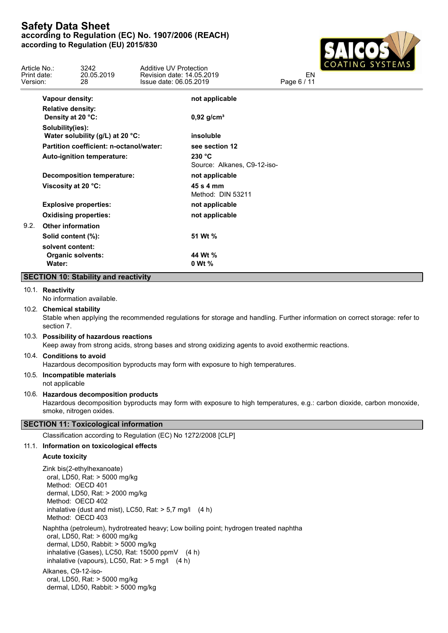

| Article No.:<br>Print date:<br>Version: |                                   | 3242<br>20.05.2019<br>28.                                                                                                                                  | Additive UV Protection<br>Revision date: 14.05.2019<br>Issue date: 06.05.2019                        |                                                                                                                             | EN<br>Page 6 / 11 | COATING SYSTEMS |  |
|-----------------------------------------|-----------------------------------|------------------------------------------------------------------------------------------------------------------------------------------------------------|------------------------------------------------------------------------------------------------------|-----------------------------------------------------------------------------------------------------------------------------|-------------------|-----------------|--|
|                                         | Vapour density:                   |                                                                                                                                                            |                                                                                                      | not applicable                                                                                                              |                   |                 |  |
|                                         | <b>Relative density:</b>          |                                                                                                                                                            |                                                                                                      |                                                                                                                             |                   |                 |  |
|                                         | Density at 20 °C:                 |                                                                                                                                                            |                                                                                                      | $0,92$ g/cm <sup>3</sup>                                                                                                    |                   |                 |  |
|                                         | Solubility(ies):                  | Water solubility (g/L) at 20 °C:                                                                                                                           |                                                                                                      | insoluble                                                                                                                   |                   |                 |  |
|                                         |                                   | Partition coefficient: n-octanol/water:                                                                                                                    |                                                                                                      | see section 12                                                                                                              |                   |                 |  |
|                                         |                                   | Auto-ignition temperature:                                                                                                                                 |                                                                                                      | 230 °C<br>Source: Alkanes, C9-12-iso-                                                                                       |                   |                 |  |
|                                         |                                   | <b>Decomposition temperature:</b>                                                                                                                          |                                                                                                      | not applicable                                                                                                              |                   |                 |  |
|                                         | Viscosity at 20 °C:               |                                                                                                                                                            |                                                                                                      | 45 s 4 mm<br>Method: DIN 53211                                                                                              |                   |                 |  |
|                                         |                                   | <b>Explosive properties:</b>                                                                                                                               |                                                                                                      | not applicable                                                                                                              |                   |                 |  |
|                                         |                                   | <b>Oxidising properties:</b>                                                                                                                               |                                                                                                      | not applicable                                                                                                              |                   |                 |  |
| 9.2.                                    | <b>Other information</b>          |                                                                                                                                                            |                                                                                                      |                                                                                                                             |                   |                 |  |
|                                         | Solid content (%):                |                                                                                                                                                            |                                                                                                      | 51 Wt %                                                                                                                     |                   |                 |  |
|                                         | solvent content:<br><b>Water:</b> | <b>Organic solvents:</b>                                                                                                                                   |                                                                                                      | 44 Wt %<br>0 Wt %                                                                                                           |                   |                 |  |
|                                         |                                   | <b>SECTION 10: Stability and reactivity</b>                                                                                                                |                                                                                                      |                                                                                                                             |                   |                 |  |
|                                         | 10.1. Reactivity                  | No information available.                                                                                                                                  |                                                                                                      |                                                                                                                             |                   |                 |  |
|                                         | 10.2. Chemical stability          |                                                                                                                                                            |                                                                                                      |                                                                                                                             |                   |                 |  |
|                                         | section 7.                        |                                                                                                                                                            |                                                                                                      | Stable when applying the recommended regulations for storage and handling. Further information on correct storage: refer to |                   |                 |  |
|                                         |                                   | 10.3. Possibility of hazardous reactions                                                                                                                   |                                                                                                      | Keep away from strong acids, strong bases and strong oxidizing agents to avoid exothermic reactions.                        |                   |                 |  |
|                                         | 10.4. Conditions to avoid         |                                                                                                                                                            |                                                                                                      | Hazardous decomposition byproducts may form with exposure to high temperatures.                                             |                   |                 |  |
|                                         | not applicable                    | 10.5. Incompatible materials                                                                                                                               |                                                                                                      |                                                                                                                             |                   |                 |  |
|                                         |                                   | 10.6. Hazardous decomposition products<br>smoke, nitrogen oxides.                                                                                          |                                                                                                      | Hazardous decomposition byproducts may form with exposure to high temperatures, e.g.: carbon dioxide, carbon monoxide,      |                   |                 |  |
|                                         |                                   | <b>SECTION 11: Toxicological information</b>                                                                                                               |                                                                                                      |                                                                                                                             |                   |                 |  |
|                                         |                                   |                                                                                                                                                            | Classification according to Regulation (EC) No 1272/2008 [CLP]                                       |                                                                                                                             |                   |                 |  |
|                                         |                                   | 11.1. Information on toxicological effects                                                                                                                 |                                                                                                      |                                                                                                                             |                   |                 |  |
|                                         | <b>Acute toxicity</b>             |                                                                                                                                                            |                                                                                                      |                                                                                                                             |                   |                 |  |
|                                         |                                   | Zink bis(2-ethylhexanoate)<br>oral, LD50, Rat: > 5000 mg/kg<br>Method: OECD 401<br>dermal, LD50, Rat: > 2000 mg/kg<br>Method: OECD 402<br>Method: OECD 403 | inhalative (dust and mist), LC50, Rat: $> 5.7$ mg/l (4 h)                                            |                                                                                                                             |                   |                 |  |
|                                         | Alkanes, C9-12-iso-               | oral, LD50, Rat: > 6000 mg/kg<br>dermal, LD50, Rabbit: > 5000 mg/kg                                                                                        | inhalative (Gases), LC50, Rat: 15000 ppmV (4 h)<br>inhalative (vapours), LC50, Rat: $>$ 5 mg/l (4 h) | Naphtha (petroleum), hydrotreated heavy; Low boiling point; hydrogen treated naphtha                                        |                   |                 |  |
|                                         |                                   | oral, LD50, Rat: > 5000 mg/kg                                                                                                                              |                                                                                                      |                                                                                                                             |                   |                 |  |

dermal, LD50, Rabbit: > 5000 mg/kg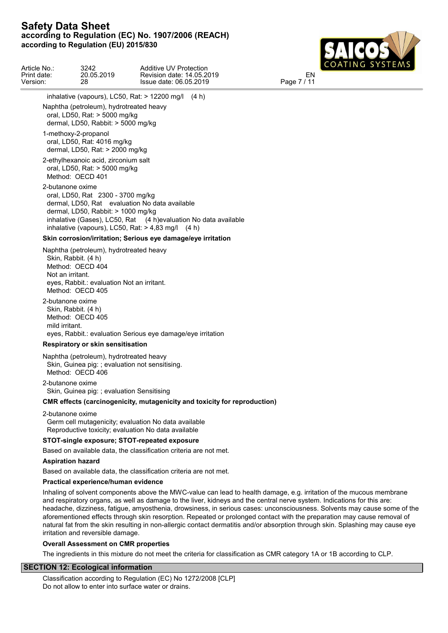

| Article No.:<br>Print date:<br>Version: | 3242<br>20.05.2019<br>28                                                                                                                             | Additive UV Protection<br>Revision date: 14.05.2019<br>Issue date: 06.05.2019                                                                                             | EN<br>Page 7 / 11 | COATING SYSTEMS |
|-----------------------------------------|------------------------------------------------------------------------------------------------------------------------------------------------------|---------------------------------------------------------------------------------------------------------------------------------------------------------------------------|-------------------|-----------------|
|                                         |                                                                                                                                                      | inhalative (vapours), LC50, Rat: $> 12200$ mg/l (4 h)                                                                                                                     |                   |                 |
|                                         | Naphtha (petroleum), hydrotreated heavy<br>oral, LD50, Rat: > 5000 mg/kg<br>dermal, LD50, Rabbit: > 5000 mg/kg                                       |                                                                                                                                                                           |                   |                 |
|                                         | 1-methoxy-2-propanol<br>oral, LD50, Rat: 4016 mg/kg<br>dermal, LD50, Rat: > 2000 mg/kg                                                               |                                                                                                                                                                           |                   |                 |
|                                         | 2-ethylhexanoic acid, zirconium salt<br>oral, LD50, Rat: > 5000 mg/kg<br>Method: OECD 401                                                            |                                                                                                                                                                           |                   |                 |
| 2-butanone oxime                        | oral, LD50, Rat 2300 - 3700 mg/kg<br>dermal, LD50, Rabbit: > 1000 mg/kg                                                                              | dermal, LD50, Rat evaluation No data available<br>inhalative (Gases), LC50, Rat (4 h)evaluation No data available<br>inhalative (vapours), LC50, Rat: $> 4,83$ mg/l (4 h) |                   |                 |
|                                         |                                                                                                                                                      | Skin corrosion/irritation; Serious eye damage/eye irritation                                                                                                              |                   |                 |
| Not an irritant.                        | Naphtha (petroleum), hydrotreated heavy<br>Skin, Rabbit. (4 h)<br>Method: OECD 404<br>eyes, Rabbit.: evaluation Not an irritant.<br>Method: OECD 405 |                                                                                                                                                                           |                   |                 |
| 2-butanone oxime<br>mild irritant.      | Skin, Rabbit. (4 h)<br>Method: OECD 405<br>Respiratory or skin sensitisation                                                                         | eyes, Rabbit.: evaluation Serious eye damage/eye irritation                                                                                                               |                   |                 |
|                                         |                                                                                                                                                      |                                                                                                                                                                           |                   |                 |

Naphtha (petroleum), hydrotreated heavy Skin, Guinea pig: ; evaluation not sensitising. Method: OECD 406

2-butanone oxime Skin, Guinea pig: ; evaluation Sensitising

## **CMR effects (carcinogenicity, mutagenicity and toxicity for reproduction)**

2-butanone oxime Germ cell mutagenicity; evaluation No data available Reproductive toxicity; evaluation No data available

### **STOT-single exposure; STOT-repeated exposure**

Based on available data, the classification criteria are not met.

### **Aspiration hazard**

Based on available data, the classification criteria are not met.

#### **Practical experience/human evidence**

Inhaling of solvent components above the MWC-value can lead to health damage, e.g. irritation of the mucous membrane and respiratory organs, as well as damage to the liver, kidneys and the central nerve system. Indications for this are: headache, dizziness, fatigue, amyosthenia, drowsiness, in serious cases: unconsciousness. Solvents may cause some of the aforementioned effects through skin resorption. Repeated or prolonged contact with the preparation may cause removal of natural fat from the skin resulting in non-allergic contact dermatitis and/or absorption through skin. Splashing may cause eye irritation and reversible damage.

#### **Overall Assessment on CMR properties**

The ingredients in this mixture do not meet the criteria for classification as CMR category 1A or 1B according to CLP.

### **SECTION 12: Ecological information**

Classification according to Regulation (EC) No 1272/2008 [CLP] Do not allow to enter into surface water or drains.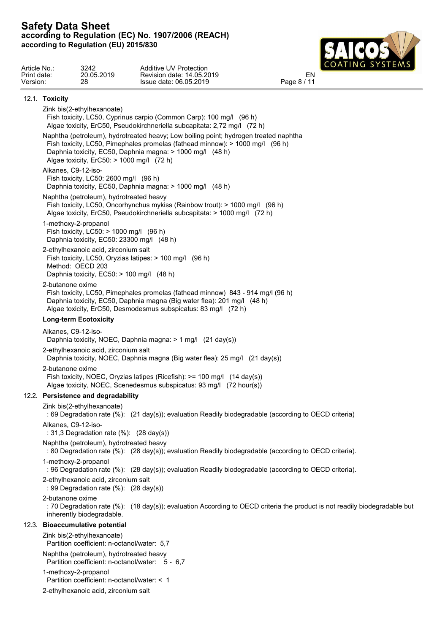

|                                         | <b>Safety Data Sheet</b> | according to Regulation (EU) 2015/830                                                                          | according to Regulation (EC) No. 1907/2006 (REACH)                                                                                                                                                                                 |                   |         |
|-----------------------------------------|--------------------------|----------------------------------------------------------------------------------------------------------------|------------------------------------------------------------------------------------------------------------------------------------------------------------------------------------------------------------------------------------|-------------------|---------|
| Article No.:<br>Print date:<br>Version: |                          | 3242<br>20.05.2019<br>28                                                                                       | <b>Additive UV Protection</b><br>Revision date: 14.05.2019<br>Issue date: 06.05.2019                                                                                                                                               | EN<br>Page 8 / 11 | NG SYSI |
|                                         | 12.1. Toxicity           |                                                                                                                |                                                                                                                                                                                                                                    |                   |         |
|                                         |                          | Zink bis(2-ethylhexanoate)                                                                                     | Fish toxicity, LC50, Cyprinus carpio (Common Carp): 100 mg/l (96 h)<br>Algae toxicity, ErC50, Pseudokirchneriella subcapitata: 2,72 mg/l (72 h)                                                                                    |                   |         |
|                                         |                          | Algae toxicity, ErC50: > 1000 mg/l (72 h)                                                                      | Naphtha (petroleum), hydrotreated heavy; Low boiling point; hydrogen treated naphtha<br>Fish toxicity, LC50, Pimephales promelas (fathead minnow): > 1000 mg/l (96 h)<br>Daphnia toxicity, EC50, Daphnia magna: > 1000 mg/l (48 h) |                   |         |
|                                         | Alkanes, C9-12-iso-      | Fish toxicity, LC50: 2600 mg/l (96 h)                                                                          | Daphnia toxicity, EC50, Daphnia magna: > 1000 mg/l (48 h)                                                                                                                                                                          |                   |         |
|                                         |                          | Naphtha (petroleum), hydrotreated heavy                                                                        | Fish toxicity, LC50, Oncorhynchus mykiss (Rainbow trout): > 1000 mg/l (96 h)<br>Algae toxicity, ErC50, Pseudokirchneriella subcapitata: > 1000 mg/l (72 h)                                                                         |                   |         |
|                                         |                          | 1-methoxy-2-propanol<br>Fish toxicity, $LC50:$ > 1000 mg/l (96 h)<br>Daphnia toxicity, EC50: 23300 mg/l (48 h) |                                                                                                                                                                                                                                    |                   |         |
|                                         |                          | 2-ethylhexanoic acid, zirconium salt<br>Method: OECD 203<br>Daphnia toxicity, EC50: > 100 mg/l (48 h)          | Fish toxicity, LC50, Oryzias latipes: > 100 mg/l (96 h)                                                                                                                                                                            |                   |         |
|                                         | 2-butanone oxime         |                                                                                                                | Fish toxicity, LC50, Pimephales promelas (fathead minnow) 843 - 914 mg/l (96 h)<br>Daphnia toxicity, EC50, Daphnia magna (Big water flea): 201 mg/l (48 h)<br>Algae toxicity, ErC50, Desmodesmus subspicatus: 83 mg/l (72 h)       |                   |         |
|                                         |                          | <b>Long-term Ecotoxicity</b>                                                                                   |                                                                                                                                                                                                                                    |                   |         |
|                                         | Alkanes, C9-12-iso-      |                                                                                                                | Daphnia toxicity, NOEC, Daphnia magna: > 1 mg/l (21 day(s))                                                                                                                                                                        |                   |         |
|                                         |                          | 2-ethylhexanoic acid, zirconium salt                                                                           | Daphnia toxicity, NOEC, Daphnia magna (Big water flea): 25 mg/l (21 day(s))                                                                                                                                                        |                   |         |
|                                         | 2-butanone oxime         |                                                                                                                | Fish toxicity, NOEC, Oryzias latipes (Ricefish): >= 100 mg/l (14 day(s))<br>Algae toxicity, NOEC, Scenedesmus subspicatus: 93 mg/l (72 hour(s))                                                                                    |                   |         |
|                                         |                          | 12.2. Persistence and degradability                                                                            |                                                                                                                                                                                                                                    |                   |         |
|                                         |                          | Zink bis(2-ethylhexanoate)                                                                                     | : 69 Degradation rate (%): (21 day(s)); evaluation Readily biodegradable (according to OECD criteria)                                                                                                                              |                   |         |

Alkanes, C9-12-iso-

: 31,3 Degradation rate (%): (28 day(s))

Naphtha (petroleum), hydrotreated heavy

: 80 Degradation rate (%): (28 day(s)); evaluation Readily biodegradable (according to OECD criteria).

1-methoxy-2-propanol

: 96 Degradation rate (%): (28 day(s)); evaluation Readily biodegradable (according to OECD criteria).

2-ethylhexanoic acid, zirconium salt

: 99 Degradation rate (%): (28 day(s))

2-butanone oxime

: 70 Degradation rate (%): (18 day(s)); evaluation According to OECD criteria the product is not readily biodegradable but inherently biodegradable.

### 12.3. **Bioaccumulative potential**

Zink bis(2-ethylhexanoate)

Partition coefficient: n-octanol/water: 5,7

Naphtha (petroleum), hydrotreated heavy

Partition coefficient: n-octanol/water: 5 - 6,7

1-methoxy-2-propanol

Partition coefficient: n-octanol/water: < 1

2-ethylhexanoic acid, zirconium salt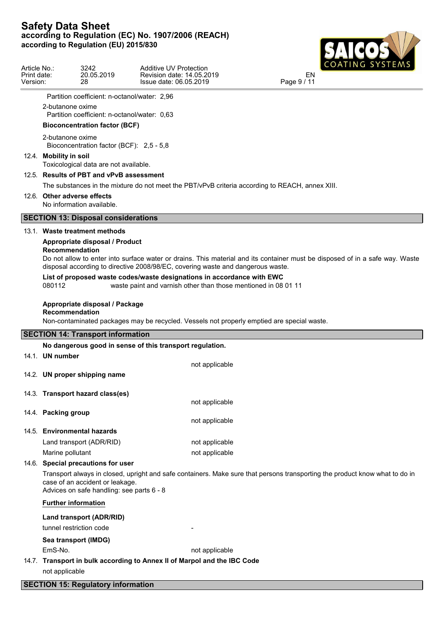

| Article No.:<br>Print date:<br>Version: |                        | 3242<br>20.05.2019<br>28                                                     | Additive UV Protection<br>Revision date: 14.05.2019<br>Issue date: 06.05.2019                                                            | CUATINU STSTEMS<br>EN<br>Page 9 / 11                                                                                         |
|-----------------------------------------|------------------------|------------------------------------------------------------------------------|------------------------------------------------------------------------------------------------------------------------------------------|------------------------------------------------------------------------------------------------------------------------------|
|                                         |                        | Partition coefficient: n-octanol/water: 2,96                                 |                                                                                                                                          |                                                                                                                              |
|                                         | 2-butanone oxime       | Partition coefficient: n-octanol/water: 0.63                                 |                                                                                                                                          |                                                                                                                              |
|                                         |                        | <b>Bioconcentration factor (BCF)</b>                                         |                                                                                                                                          |                                                                                                                              |
|                                         | 2-butanone oxime       | Bioconcentration factor (BCF): 2,5 - 5,8                                     |                                                                                                                                          |                                                                                                                              |
|                                         | 12.4. Mobility in soil | Toxicological data are not available.                                        |                                                                                                                                          |                                                                                                                              |
|                                         |                        | 12.5. Results of PBT and vPvB assessment                                     |                                                                                                                                          |                                                                                                                              |
|                                         |                        |                                                                              | The substances in the mixture do not meet the PBT/vPvB criteria according to REACH, annex XIII.                                          |                                                                                                                              |
|                                         |                        | 12.6. Other adverse effects<br>No information available.                     |                                                                                                                                          |                                                                                                                              |
|                                         |                        | <b>SECTION 13: Disposal considerations</b>                                   |                                                                                                                                          |                                                                                                                              |
|                                         |                        | 13.1. Waste treatment methods                                                |                                                                                                                                          |                                                                                                                              |
|                                         |                        | Appropriate disposal / Product<br>Recommendation                             | disposal according to directive 2008/98/EC, covering waste and dangerous waste.                                                          | Do not allow to enter into surface water or drains. This material and its container must be disposed of in a safe way. Waste |
|                                         | 080112                 |                                                                              | List of proposed waste codes/waste designations in accordance with EWC<br>waste paint and varnish other than those mentioned in 08 01 11 |                                                                                                                              |
|                                         |                        | Appropriate disposal / Package<br><b>Recommendation</b>                      | Non-contaminated packages may be recycled. Vessels not properly emptied are special waste.                                               |                                                                                                                              |
|                                         |                        | <b>SECTION 14: Transport information</b>                                     |                                                                                                                                          |                                                                                                                              |
|                                         |                        |                                                                              | No dangerous good in sense of this transport regulation.                                                                                 |                                                                                                                              |
|                                         | 14.1. UN number        |                                                                              |                                                                                                                                          |                                                                                                                              |
|                                         |                        |                                                                              | not applicable                                                                                                                           |                                                                                                                              |
|                                         |                        | 14.2. UN proper shipping name                                                |                                                                                                                                          |                                                                                                                              |
|                                         |                        | 14.3. Transport hazard class(es)                                             |                                                                                                                                          |                                                                                                                              |
|                                         |                        |                                                                              | not applicable                                                                                                                           |                                                                                                                              |
|                                         | 14.4. Packing group    |                                                                              |                                                                                                                                          |                                                                                                                              |
|                                         |                        |                                                                              | not applicable                                                                                                                           |                                                                                                                              |
|                                         |                        | 14.5. Environmental hazards                                                  |                                                                                                                                          |                                                                                                                              |
|                                         |                        | Land transport (ADR/RID)                                                     | not applicable                                                                                                                           |                                                                                                                              |
|                                         | Marine pollutant       | 14.6. Special precautions for user                                           | not applicable                                                                                                                           |                                                                                                                              |
|                                         |                        | case of an accident or leakage.<br>Advices on safe handling: see parts 6 - 8 |                                                                                                                                          | Transport always in closed, upright and safe containers. Make sure that persons transporting the product know what to do in  |
|                                         |                        | <b>Further information</b>                                                   |                                                                                                                                          |                                                                                                                              |
|                                         |                        | Land transport (ADR/RID)                                                     |                                                                                                                                          |                                                                                                                              |
|                                         |                        | tunnel restriction code                                                      |                                                                                                                                          |                                                                                                                              |
|                                         |                        | Sea transport (IMDG)                                                         |                                                                                                                                          |                                                                                                                              |
|                                         | EmS-No.                |                                                                              | not applicable                                                                                                                           |                                                                                                                              |
|                                         |                        |                                                                              | 14.7. Transport in bulk according to Annex II of Marpol and the IBC Code                                                                 |                                                                                                                              |
|                                         | not applicable         |                                                                              |                                                                                                                                          |                                                                                                                              |
|                                         |                        | <b>SECTION 15: Regulatory information</b>                                    |                                                                                                                                          |                                                                                                                              |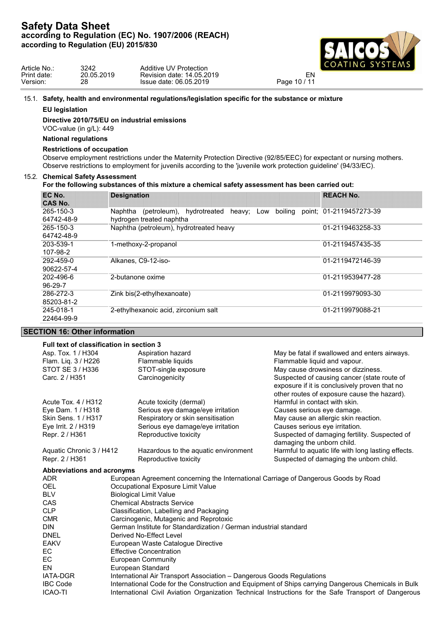

| Article No  | 3242       | Additive UV Protection    | LCOATING SYSTEMS     |
|-------------|------------|---------------------------|----------------------|
| Print date: | 20.05.2019 | Revision date: 14.05.2019 |                      |
| Version:    | 28         | Issue date: 06.05.2019    | 10111<br>Page<br>10/ |

### 15.1. **Safety, health and environmental regulations/legislation specific for the substance or mixture**

#### **EU legislation**

**Directive 2010/75/EU on industrial emissions**

VOC-value (in g/L): 449

## **National regulations**

#### **Restrictions of occupation**

Observe employment restrictions under the Maternity Protection Directive (92/85/EEC) for expectant or nursing mothers. Observe restrictions to employment for juvenils according to the 'juvenile work protection guideline' (94/33/EC).

## 15.2. **Chemical Safety Assessment**

## **For the following substances of this mixture a chemical safety assessment has been carried out:**

| EC No.<br><b>CAS No.</b> | <b>Designation</b>                                               | <b>REACH No.</b>        |
|--------------------------|------------------------------------------------------------------|-------------------------|
| 265-150-3                | boiling<br>Naphtha<br>(petroleum), hydrotreated<br>heavy;<br>Low | point; 01-2119457273-39 |
| 64742-48-9               | hydrogen treated naphtha                                         |                         |
| 265-150-3                | Naphtha (petroleum), hydrotreated heavy                          | 01-2119463258-33        |
| 64742-48-9               |                                                                  |                         |
| 203-539-1                | 1-methoxy-2-propanol                                             | 01-2119457435-35        |
| 107-98-2                 |                                                                  |                         |
| 292-459-0                | Alkanes, C9-12-iso-                                              | 01-2119472146-39        |
| 90622-57-4               |                                                                  |                         |
| 202-496-6                | 2-butanone oxime                                                 | 01-2119539477-28        |
| $96-29-7$                |                                                                  |                         |
| 286-272-3                | Zink bis(2-ethylhexanoate)                                       | 01-2119979093-30        |
| 85203-81-2               |                                                                  |                         |
| 245-018-1                | 2-ethylhexanoic acid, zirconium salt                             | 01-2119979088-21        |
| 22464-99-9               |                                                                  |                         |

## **SECTION 16: Other information**

# **Full text of classification in section 3**

| Full text of classification in section 3 |                                      |                                                    |  |
|------------------------------------------|--------------------------------------|----------------------------------------------------|--|
| Asp. Tox. 1 / H304                       | Aspiration hazard                    | May be fatal if swallowed and enters airways.      |  |
| Flam. Liq. 3 / H226                      | Flammable liquids                    | Flammable liquid and vapour.                       |  |
| STOT SE 3 / H336                         | STOT-single exposure                 | May cause drowsiness or dizziness.                 |  |
| Carc. 2 / H351                           | Carcinogenicity                      | Suspected of causing cancer (state route of        |  |
|                                          |                                      | exposure if it is conclusively proven that no      |  |
|                                          |                                      | other routes of exposure cause the hazard).        |  |
| Acute Tox. 4 / H312                      | Acute toxicity (dermal)              | Harmful in contact with skin.                      |  |
| Eye Dam. 1 / H318                        | Serious eye damage/eye irritation    | Causes serious eye damage.                         |  |
| Skin Sens. 1 / H317                      | Respiratory or skin sensitisation    | May cause an allergic skin reaction.               |  |
| Eye Irrit. 2 / H319                      | Serious eye damage/eye irritation    | Causes serious eye irritation.                     |  |
| Repr. 2 / H361                           | Reproductive toxicity                | Suspected of damaging fertility. Suspected of      |  |
|                                          |                                      | damaging the unborn child.                         |  |
| Aquatic Chronic 3 / H412                 | Hazardous to the aquatic environment | Harmful to aquatic life with long lasting effects. |  |
| Repr. 2 / H361                           | Reproductive toxicity                | Suspected of damaging the unborn child.            |  |

#### **Abbreviations and acronyms**

| <b>ADR</b>      | European Agreement concerning the International Carriage of Dangerous Goods by Road                  |
|-----------------|------------------------------------------------------------------------------------------------------|
| <b>OEL</b>      | Occupational Exposure Limit Value                                                                    |
| <b>BLV</b>      | <b>Biological Limit Value</b>                                                                        |
| <b>CAS</b>      | <b>Chemical Abstracts Service</b>                                                                    |
| <b>CLP</b>      | Classification, Labelling and Packaging                                                              |
| <b>CMR</b>      | Carcinogenic, Mutagenic and Reprotoxic                                                               |
| <b>DIN</b>      | German Institute for Standardization / German industrial standard                                    |
| <b>DNEL</b>     | Derived No-Effect Level                                                                              |
| <b>EAKV</b>     | European Waste Catalogue Directive                                                                   |
| EC              | <b>Effective Concentration</b>                                                                       |
| EC              | European Community                                                                                   |
| <b>EN</b>       | European Standard                                                                                    |
| <b>IATA-DGR</b> | International Air Transport Association - Dangerous Goods Regulations                                |
| <b>IBC Code</b> | International Code for the Construction and Equipment of Ships carrying Dangerous Chemicals in Bulk  |
| <b>ICAO-TI</b>  | International Civil Aviation Organization Technical Instructions for the Safe Transport of Dangerous |
|                 |                                                                                                      |